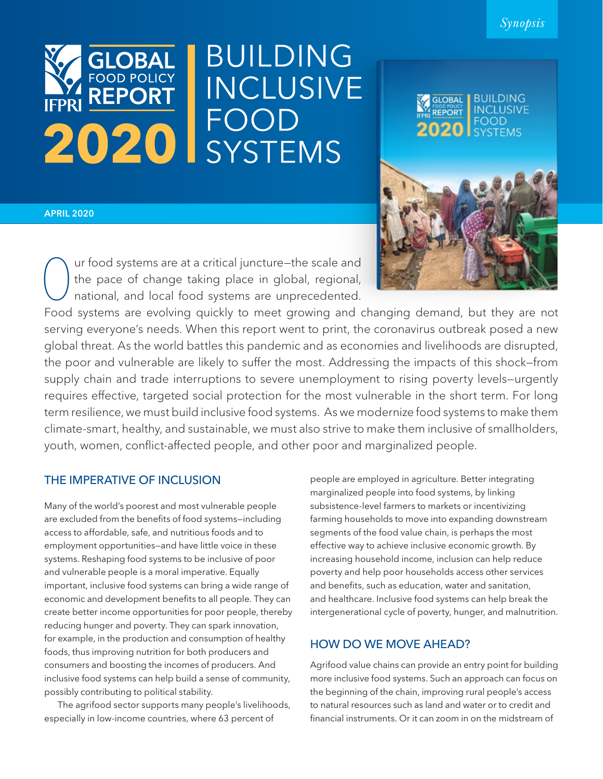

# **BUILDING INCLUSIVE** FOOD SYSTEMS



# APRIL 2020

Our food systems are at a critical juncture–the scale and<br>the pace of change taking place in global, regional,<br>national, and local food systems are unprecedented. the pace of change taking place in global, regional, national, and local food systems are unprecedented.

Food systems are evolving quickly to meet growing and changing demand, but they are not serving everyone's needs. When this report went to print, the coronavirus outbreak posed a new global threat. As the world battles this pandemic and as economies and livelihoods are disrupted, the poor and vulnerable are likely to suffer the most. Addressing the impacts of this shock—from supply chain and trade interruptions to severe unemployment to rising poverty levels–urgently requires effective, targeted social protection for the most vulnerable in the short term. For long term resilience, we must build inclusive food systems. As we modernize food systems to make them climate-smart, healthy, and sustainable, we must also strive to make them inclusive of smallholders, youth, women, conflict-affected people, and other poor and marginalized people.

# THE IMPERATIVE OF INCLUSION

Many of the world's poorest and most vulnerable people are excluded from the benefits of food systems—including access to affordable, safe, and nutritious foods and to employment opportunities—and have little voice in these systems. Reshaping food systems to be inclusive of poor and vulnerable people is a moral imperative. Equally important, inclusive food systems can bring a wide range of economic and development benefits to all people. They can create better income opportunities for poor people, thereby reducing hunger and poverty. They can spark innovation, for example, in the production and consumption of healthy foods, thus improving nutrition for both producers and consumers and boosting the incomes of producers. And inclusive food systems can help build a sense of community, possibly contributing to political stability.

The agrifood sector supports many people's livelihoods, especially in low-income countries, where 63 percent of

people are employed in agriculture. Better integrating marginalized people into food systems, by linking subsistence-level farmers to markets or incentivizing farming households to move into expanding downstream segments of the food value chain, is perhaps the most effective way to achieve inclusive economic growth. By increasing household income, inclusion can help reduce poverty and help poor households access other services and benefits, such as education, water and sanitation, and healthcare. Inclusive food systems can help break the intergenerational cycle of poverty, hunger, and malnutrition.

# HOW DO WE MOVE AHEAD?

Agrifood value chains can provide an entry point for building more inclusive food systems. Such an approach can focus on the beginning of the chain, improving rural people's access to natural resources such as land and water or to credit and financial instruments. Or it can zoom in on the midstream of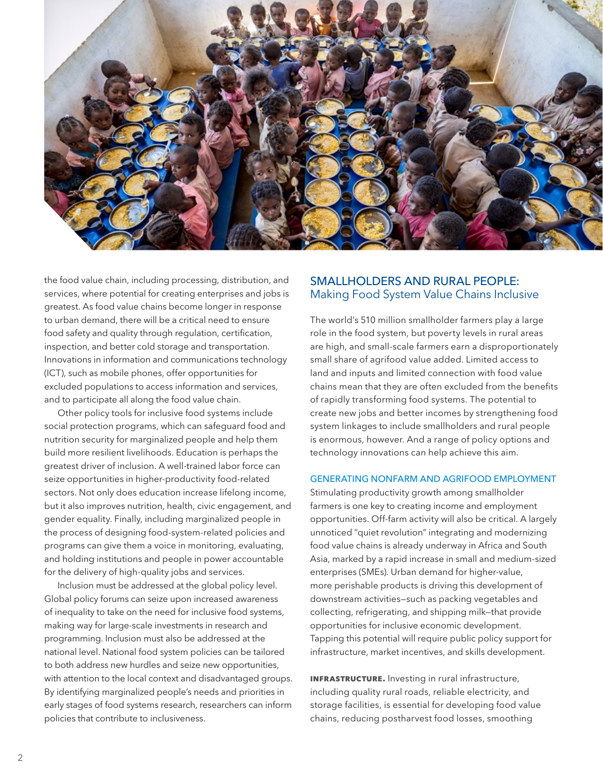

the food value chain, including processing, distribution, and services, where potential for creating enterprises and jobs is greatest. As food value chains become longer in response to urban demand, there will be a critical need to ensure food safety and quality through regulation, certification, inspection, and better cold storage and transportation. Innovations in information and communications technology (ICT), such as mobile phones, offer opportunities for excluded populations to access information and services, and to participate all along the food value chain.

Other policy tools for inclusive food systems include social protection programs, which can safeguard food and nutrition security for marginalized people and help them build more resilient livelihoods. Education is perhaps the greatest driver of inclusion. A well-trained labor force can seize opportunities in higher-productivity food-related sectors. Not only does education increase lifelong income, but it also improves nutrition, health, civic engagement, and gender equality. Finally, including marginalized people in the process of designing food-system-related policies and programs can give them a voice in monitoring, evaluating, and holding institutions and people in power accountable for the delivery of high-quality jobs and services.

Inclusion must be addressed at the global policy level. Global policy forums can seize upon increased awareness of inequality to take on the need for inclusive food systems, making way for large-scale investments in research and programming. Inclusion must also be addressed at the national level. National food system policies can be tailored to both address new hurdles and seize new opportunities, with attention to the local context and disadvantaged groups. By identifying marginalized people's needs and priorities in early stages of food systems research, researchers can inform policies that contribute to inclusiveness.

# SMALLHOLDERS AND RURAL PEOPLE: Making Food System Value Chains Inclusive

The world's 510 million smallholder farmers play a large role in the food system, but poverty levels in rural areas are high, and small-scale farmers earn a disproportionately small share of agrifood value added. Limited access to land and inputs and limited connection with food value chains mean that they are often excluded from the benefits of rapidly transforming food systems. The potential to create new jobs and better incomes by strengthening food system linkages to include smallholders and rural people is enormous, however. And a range of policy options and technology innovations can help achieve this aim.

# GENERATING NONFARM AND AGRIFOOD EMPLOYMENT

Stimulating productivity growth among smallholder farmers is one key to creating income and employment opportunities. Off-farm activity will also be critical. A largely unnoticed "quiet revolution" integrating and modernizing food value chains is already underway in Africa and South Asia, marked by a rapid increase in small and medium-sized enterprises (SMEs). Urban demand for higher-value, more perishable products is driving this development of downstream activities—such as packing vegetables and collecting, refrigerating, and shipping milk—that provide opportunities for inclusive economic development. Tapping this potential will require public policy support for infrastructure, market incentives, and skills development.

**INFRASTRUCTURE.** Investing in rural infrastructure, including quality rural roads, reliable electricity, and storage facilities, is essential for developing food value chains, reducing postharvest food losses, smoothing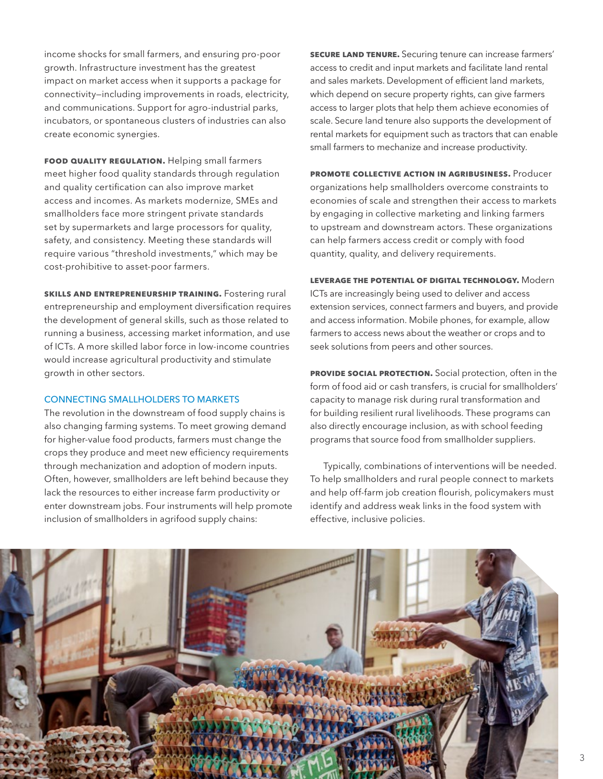income shocks for small farmers, and ensuring pro-poor growth. Infrastructure investment has the greatest impact on market access when it supports a package for connectivity—including improvements in roads, electricity, and communications. Support for agro-industrial parks, incubators, or spontaneous clusters of industries can also create economic synergies.

**FOOD QUALITY REGULATION.** Helping small farmers meet higher food quality standards through regulation and quality certification can also improve market access and incomes. As markets modernize, SMEs and smallholders face more stringent private standards set by supermarkets and large processors for quality, safety, and consistency. Meeting these standards will require various "threshold investments," which may be cost-prohibitive to asset-poor farmers.

**SKILLS AND ENTREPRENEURSHIP TRAINING.** Fostering rural entrepreneurship and employment diversification requires the development of general skills, such as those related to running a business, accessing market information, and use of ICTs. A more skilled labor force in low-income countries would increase agricultural productivity and stimulate growth in other sectors.

## CONNECTING SMALLHOLDERS TO MARKETS

The revolution in the downstream of food supply chains is also changing farming systems. To meet growing demand for higher-value food products, farmers must change the crops they produce and meet new efficiency requirements through mechanization and adoption of modern inputs. Often, however, smallholders are left behind because they lack the resources to either increase farm productivity or enter downstream jobs. Four instruments will help promote inclusion of smallholders in agrifood supply chains:

**Secure land tenure.** Securing tenure can increase farmers' access to credit and input markets and facilitate land rental and sales markets. Development of efficient land markets, which depend on secure property rights, can give farmers access to larger plots that help them achieve economies of scale. Secure land tenure also supports the development of rental markets for equipment such as tractors that can enable small farmers to mechanize and increase productivity.

**Promote collective action in agribusiness.** Producer organizations help smallholders overcome constraints to economies of scale and strengthen their access to markets by engaging in collective marketing and linking farmers to upstream and downstream actors. These organizations can help farmers access credit or comply with food quantity, quality, and delivery requirements.

**Leverage the potential of digital technology.** Modern ICTs are increasingly being used to deliver and access extension services, connect farmers and buyers, and provide and access information. Mobile phones, for example, allow farmers to access news about the weather or crops and to seek solutions from peers and other sources.

**PROVIDE SOCIAL PROTECTION.** Social protection, often in the form of food aid or cash transfers, is crucial for smallholders' capacity to manage risk during rural transformation and for building resilient rural livelihoods. These programs can also directly encourage inclusion, as with school feeding programs that source food from smallholder suppliers.

Typically, combinations of interventions will be needed. To help smallholders and rural people connect to markets and help off-farm job creation flourish, policymakers must identify and address weak links in the food system with effective, inclusive policies.

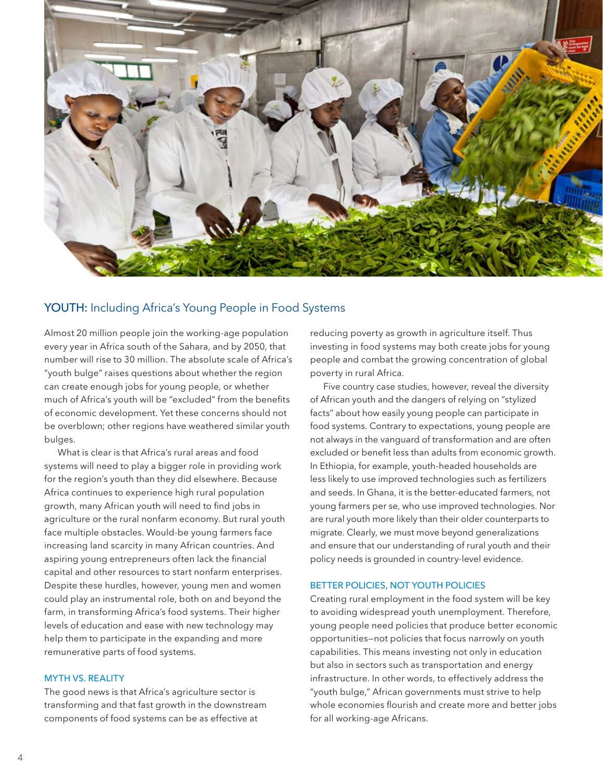

# YOUTH: Including Africa's Young People in Food Systems

Almost 20 million people join the working-age population every year in Africa south of the Sahara, and by 2050, that number will rise to 30 million. The absolute scale of Africa's "youth bulge" raises questions about whether the region can create enough jobs for young people, or whether much of Africa's youth will be "excluded" from the benefits of economic development. Yet these concerns should not be overblown; other regions have weathered similar youth bulges.

What is clear is that Africa's rural areas and food systems will need to play a bigger role in providing work for the region's youth than they did elsewhere. Because Africa continues to experience high rural population growth, many African youth will need to find jobs in agriculture or the rural nonfarm economy. But rural youth face multiple obstacles. Would-be young farmers face increasing land scarcity in many African countries. And aspiring young entrepreneurs often lack the financial capital and other resources to start nonfarm enterprises. Despite these hurdles, however, young men and women could play an instrumental role, both on and beyond the farm, in transforming Africa's food systems. Their higher levels of education and ease with new technology may help them to participate in the expanding and more remunerative parts of food systems.

## MYTH VS. REALITY

The good news is that Africa's agriculture sector is transforming and that fast growth in the downstream components of food systems can be as effective at

reducing poverty as growth in agriculture itself. Thus investing in food systems may both create jobs for young people and combat the growing concentration of global poverty in rural Africa.

Five country case studies, however, reveal the diversity of African youth and the dangers of relying on "stylized facts" about how easily young people can participate in food systems. Contrary to expectations, young people are not always in the vanguard of transformation and are often excluded or benefit less than adults from economic growth. In Ethiopia, for example, youth-headed households are less likely to use improved technologies such as fertilizers and seeds. In Ghana, it is the better-educated farmers, not young farmers per se, who use improved technologies. Nor are rural youth more likely than their older counterparts to migrate. Clearly, we must move beyond generalizations and ensure that our understanding of rural youth and their policy needs is grounded in country-level evidence.

## BETTER POLICIES, NOT YOUTH POLICIES

Creating rural employment in the food system will be key to avoiding widespread youth unemployment. Therefore, young people need policies that produce better economic opportunities—not policies that focus narrowly on youth capabilities. This means investing not only in education but also in sectors such as transportation and energy infrastructure. In other words, to effectively address the "youth bulge," African governments must strive to help whole economies flourish and create more and better jobs for all working-age Africans.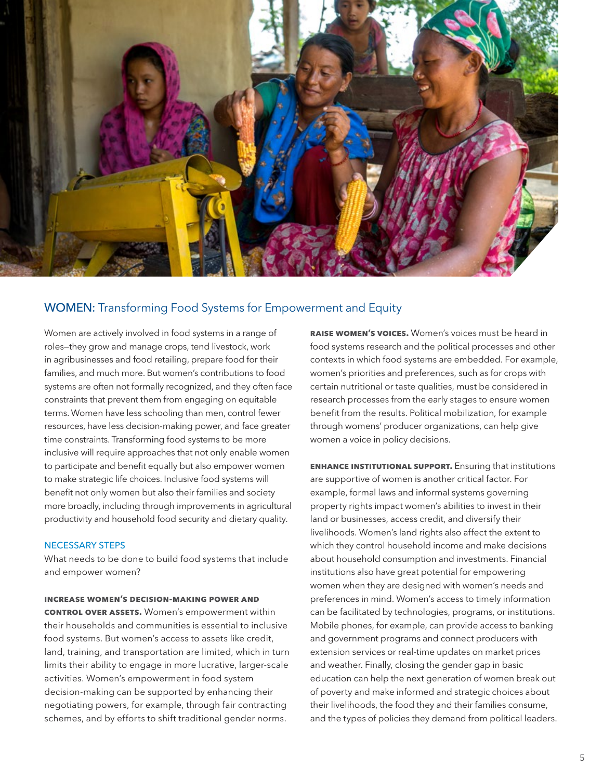

# WOMEN: Transforming Food Systems for Empowerment and Equity

Women are actively involved in food systems in a range of roles—they grow and manage crops, tend livestock, work in agribusinesses and food retailing, prepare food for their families, and much more. But women's contributions to food systems are often not formally recognized, and they often face constraints that prevent them from engaging on equitable terms. Women have less schooling than men, control fewer resources, have less decision-making power, and face greater time constraints. Transforming food systems to be more inclusive will require approaches that not only enable women to participate and benefit equally but also empower women to make strategic life choices. Inclusive food systems will benefit not only women but also their families and society more broadly, including through improvements in agricultural productivity and household food security and dietary quality.

## NECESSARY STEPS

What needs to be done to build food systems that include and empower women?

### **Increase women's decision-making power and**

**control over assets.** Women's empowerment within their households and communities is essential to inclusive food systems. But women's access to assets like credit, land, training, and transportation are limited, which in turn limits their ability to engage in more lucrative, larger-scale activities. Women's empowerment in food system decision-making can be supported by enhancing their negotiating powers, for example, through fair contracting schemes, and by efforts to shift traditional gender norms.

**Raise women's voices.** Women's voices must be heard in food systems research and the political processes and other contexts in which food systems are embedded. For example, women's priorities and preferences, such as for crops with certain nutritional or taste qualities, must be considered in research processes from the early stages to ensure women benefit from the results. Political mobilization, for example through womens' producer organizations, can help give women a voice in policy decisions.

**Enhance institutional support.** Ensuring that institutions are supportive of women is another critical factor. For example, formal laws and informal systems governing property rights impact women's abilities to invest in their land or businesses, access credit, and diversify their livelihoods. Women's land rights also affect the extent to which they control household income and make decisions about household consumption and investments. Financial institutions also have great potential for empowering women when they are designed with women's needs and preferences in mind. Women's access to timely information can be facilitated by technologies, programs, or institutions. Mobile phones, for example, can provide access to banking and government programs and connect producers with extension services or real-time updates on market prices and weather. Finally, closing the gender gap in basic education can help the next generation of women break out of poverty and make informed and strategic choices about their livelihoods, the food they and their families consume, and the types of policies they demand from political leaders.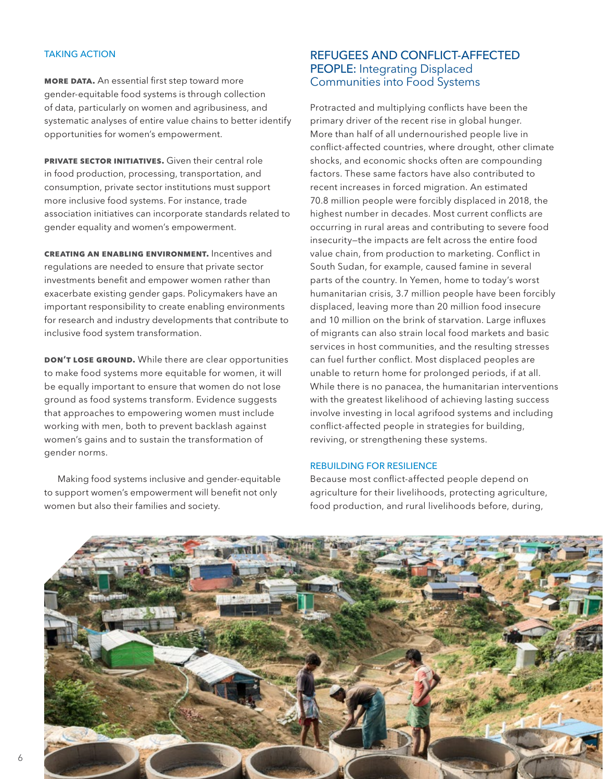## TAKING ACTION

**MORE DATA.** An essential first step toward more gender-equitable food systems is through collection of data, particularly on women and agribusiness, and systematic analyses of entire value chains to better identify opportunities for women's empowerment.

**PRIVATE SECTOR INITIATIVES.** Given their central role in food production, processing, transportation, and consumption, private sector institutions must support more inclusive food systems. For instance, trade association initiatives can incorporate standards related to gender equality and women's empowerment.

**Creating an enabling environment.** Incentives and regulations are needed to ensure that private sector investments benefit and empower women rather than exacerbate existing gender gaps. Policymakers have an important responsibility to create enabling environments for research and industry developments that contribute to inclusive food system transformation.

**DON'T LOSE GROUND.** While there are clear opportunities to make food systems more equitable for women, it will be equally important to ensure that women do not lose ground as food systems transform. Evidence suggests that approaches to empowering women must include working with men, both to prevent backlash against women's gains and to sustain the transformation of gender norms.

Making food systems inclusive and gender-equitable to support women's empowerment will benefit not only women but also their families and society.

# REFUGEES AND CONFLICT-AFFECTED PEOPLE: Integrating Displaced Communities into Food Systems

Protracted and multiplying conflicts have been the primary driver of the recent rise in global hunger. More than half of all undernourished people live in conflict-affected countries, where drought, other climate shocks, and economic shocks often are compounding factors. These same factors have also contributed to recent increases in forced migration. An estimated 70.8 million people were forcibly displaced in 2018, the highest number in decades. Most current conflicts are occurring in rural areas and contributing to severe food insecurity—the impacts are felt across the entire food value chain, from production to marketing. Conflict in South Sudan, for example, caused famine in several parts of the country. In Yemen, home to today's worst humanitarian crisis, 3.7 million people have been forcibly displaced, leaving more than 20 million food insecure and 10 million on the brink of starvation. Large influxes of migrants can also strain local food markets and basic services in host communities, and the resulting stresses can fuel further conflict. Most displaced peoples are unable to return home for prolonged periods, if at all. While there is no panacea, the humanitarian interventions with the greatest likelihood of achieving lasting success involve investing in local agrifood systems and including conflict-affected people in strategies for building, reviving, or strengthening these systems.

# REBUILDING FOR RESILIENCE

Because most conflict-affected people depend on agriculture for their livelihoods, protecting agriculture, food production, and rural livelihoods before, during,

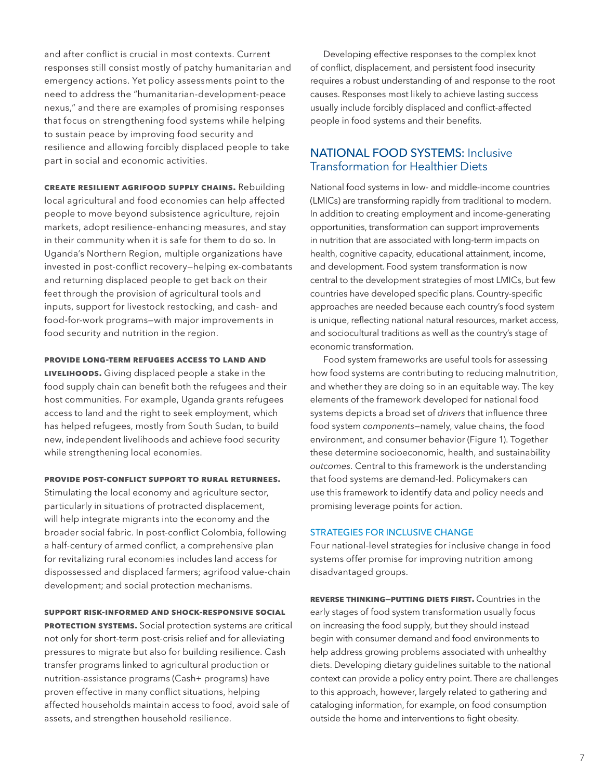and after conflict is crucial in most contexts. Current responses still consist mostly of patchy humanitarian and emergency actions. Yet policy assessments point to the need to address the "humanitarian-development-peace nexus," and there are examples of promising responses that focus on strengthening food systems while helping to sustain peace by improving food security and resilience and allowing forcibly displaced people to take part in social and economic activities.

**Create resilient agrifood supply chains.** Rebuilding local agricultural and food economies can help affected people to move beyond subsistence agriculture, rejoin markets, adopt resilience-enhancing measures, and stay in their community when it is safe for them to do so. In Uganda's Northern Region, multiple organizations have invested in post-conflict recovery—helping ex-combatants and returning displaced people to get back on their feet through the provision of agricultural tools and inputs, support for livestock restocking, and cash- and food-for-work programs—with major improvements in food security and nutrition in the region.

### **Provide long-term refugees access to land and**

**livelihoods.** Giving displaced people a stake in the food supply chain can benefit both the refugees and their host communities. For example, Uganda grants refugees access to land and the right to seek employment, which has helped refugees, mostly from South Sudan, to build new, independent livelihoods and achieve food security while strengthening local economies.

## **Provide post-conflict support to rural returnees.**

Stimulating the local economy and agriculture sector, particularly in situations of protracted displacement, will help integrate migrants into the economy and the broader social fabric. In post-conflict Colombia, following a half-century of armed conflict, a comprehensive plan for revitalizing rural economies includes land access for dispossessed and displaced farmers; agrifood value-chain development; and social protection mechanisms.

# **Support risk-informed and shock-responsive social**

**PROTECTION SYSTEMS.** Social protection systems are critical not only for short-term post-crisis relief and for alleviating pressures to migrate but also for building resilience. Cash transfer programs linked to agricultural production or nutrition-assistance programs (Cash+ programs) have proven effective in many conflict situations, helping affected households maintain access to food, avoid sale of assets, and strengthen household resilience.

Developing effective responses to the complex knot of conflict, displacement, and persistent food insecurity requires a robust understanding of and response to the root causes. Responses most likely to achieve lasting success usually include forcibly displaced and conflict-affected people in food systems and their benefits.

# NATIONAL FOOD SYSTEMS: Inclusive Transformation for Healthier Diets

National food systems in low- and middle-income countries (LMICs) are transforming rapidly from traditional to modern. In addition to creating employment and income-generating opportunities, transformation can support improvements in nutrition that are associated with long-term impacts on health, cognitive capacity, educational attainment, income, and development. Food system transformation is now central to the development strategies of most LMICs, but few countries have developed specific plans. Country-specific approaches are needed because each country's food system is unique, reflecting national natural resources, market access, and sociocultural traditions as well as the country's stage of economic transformation.

Food system frameworks are useful tools for assessing how food systems are contributing to reducing malnutrition, and whether they are doing so in an equitable way. The key elements of the framework developed for national food systems depicts a broad set of *drivers* that influence three food system *components*—namely, value chains, the food environment, and consumer behavior (Figure 1). Together these determine socioeconomic, health, and sustainability *outcomes*. Central to this framework is the understanding that food systems are demand-led. Policymakers can use this framework to identify data and policy needs and promising leverage points for action.

## STRATEGIES FOR INCLUSIVE CHANGE

Four national-level strategies for inclusive change in food systems offer promise for improving nutrition among disadvantaged groups.

**Reverse thinking—putting diets first.** Countries in the early stages of food system transformation usually focus on increasing the food supply, but they should instead begin with consumer demand and food environments to help address growing problems associated with unhealthy diets. Developing dietary guidelines suitable to the national context can provide a policy entry point. There are challenges to this approach, however, largely related to gathering and cataloging information, for example, on food consumption outside the home and interventions to fight obesity.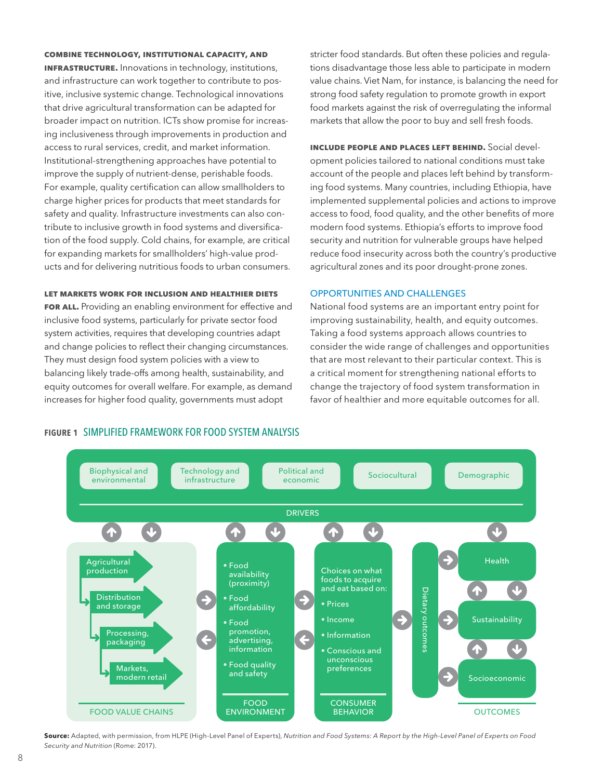#### **Combine technology, institutional capacity, and**

**infrastructure.** Innovations in technology, institutions, and infrastructure can work together to contribute to positive, inclusive systemic change. Technological innovations that drive agricultural transformation can be adapted for broader impact on nutrition. ICTs show promise for increasing inclusiveness through improvements in production and access to rural services, credit, and market information. Institutional-strengthening approaches have potential to improve the supply of nutrient-dense, perishable foods. For example, quality certification can allow smallholders to charge higher prices for products that meet standards for safety and quality. Infrastructure investments can also contribute to inclusive growth in food systems and diversification of the food supply. Cold chains, for example, are critical for expanding markets for smallholders' high-value products and for delivering nutritious foods to urban consumers.

#### **Let markets work for inclusion and healthier diets**

**FOR ALL.** Providing an enabling environment for effective and inclusive food systems, particularly for private sector food system activities, requires that developing countries adapt and change policies to reflect their changing circumstances. They must design food system policies with a view to balancing likely trade-offs among health, sustainability, and equity outcomes for overall welfare. For example, as demand increases for higher food quality, governments must adopt

stricter food standards. But often these policies and regulations disadvantage those less able to participate in modern value chains. Viet Nam, for instance, is balancing the need for strong food safety regulation to promote growth in export food markets against the risk of overregulating the informal markets that allow the poor to buy and sell fresh foods.

**Include people and places left behind.** Social development policies tailored to national conditions must take account of the people and places left behind by transforming food systems. Many countries, including Ethiopia, have implemented supplemental policies and actions to improve access to food, food quality, and the other benefits of more modern food systems. Ethiopia's efforts to improve food security and nutrition for vulnerable groups have helped reduce food insecurity across both the country's productive agricultural zones and its poor drought-prone zones.

## OPPORTUNITIES AND CHALLENGES

National food systems are an important entry point for improving sustainability, health, and equity outcomes. Taking a food systems approach allows countries to consider the wide range of challenges and opportunities that are most relevant to their particular context. This is a critical moment for strengthening national efforts to change the trajectory of food system transformation in favor of healthier and more equitable outcomes for all.



#### **Source:** Adapted, with permission, from HLPE (High-Level Panel of Experts), *Nutrition and Food Systems: A Report by the High-Level Panel of Experts on Food Security and Nutrition* (Rome: 2017).

# Figure 1 SIMPLIFIED FRAMEWORK FOR FOOD SYSTEM ANALYSIS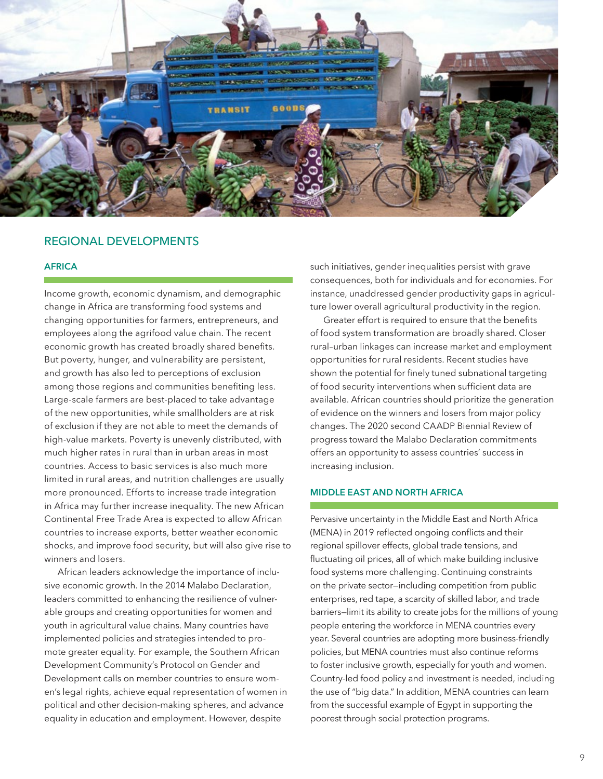

# REGIONAL DEVELOPMENTS

## AFRICA

Income growth, economic dynamism, and demographic change in Africa are transforming food systems and changing opportunities for farmers, entrepreneurs, and employees along the agrifood value chain. The recent economic growth has created broadly shared benefits. But poverty, hunger, and vulnerability are persistent, and growth has also led to perceptions of exclusion among those regions and communities benefiting less. Large-scale farmers are best-placed to take advantage of the new opportunities, while smallholders are at risk of exclusion if they are not able to meet the demands of high-value markets. Poverty is unevenly distributed, with much higher rates in rural than in urban areas in most countries. Access to basic services is also much more limited in rural areas, and nutrition challenges are usually more pronounced. Efforts to increase trade integration in Africa may further increase inequality. The new African Continental Free Trade Area is expected to allow African countries to increase exports, better weather economic shocks, and improve food security, but will also give rise to winners and losers.

African leaders acknowledge the importance of inclusive economic growth. In the 2014 Malabo Declaration, leaders committed to enhancing the resilience of vulnerable groups and creating opportunities for women and youth in agricultural value chains. Many countries have implemented policies and strategies intended to promote greater equality. For example, the Southern African Development Community's Protocol on Gender and Development calls on member countries to ensure women's legal rights, achieve equal representation of women in political and other decision-making spheres, and advance equality in education and employment. However, despite

such initiatives, gender inequalities persist with grave consequences, both for individuals and for economies. For instance, unaddressed gender productivity gaps in agriculture lower overall agricultural productivity in the region.

Greater effort is required to ensure that the benefits of food system transformation are broadly shared. Closer rural–urban linkages can increase market and employment opportunities for rural residents. Recent studies have shown the potential for finely tuned subnational targeting of food security interventions when sufficient data are available. African countries should prioritize the generation of evidence on the winners and losers from major policy changes. The 2020 second CAADP Biennial Review of progress toward the Malabo Declaration commitments offers an opportunity to assess countries' success in increasing inclusion.

# MIDDLE EAST AND NORTH AFRICA

Pervasive uncertainty in the Middle East and North Africa (MENA) in 2019 reflected ongoing conflicts and their regional spillover effects, global trade tensions, and fluctuating oil prices, all of which make building inclusive food systems more challenging. Continuing constraints on the private sector—including competition from public enterprises, red tape, a scarcity of skilled labor, and trade barriers—limit its ability to create jobs for the millions of young people entering the workforce in MENA countries every year. Several countries are adopting more business-friendly policies, but MENA countries must also continue reforms to foster inclusive growth, especially for youth and women. Country-led food policy and investment is needed, including the use of "big data." In addition, MENA countries can learn from the successful example of Egypt in supporting the poorest through social protection programs.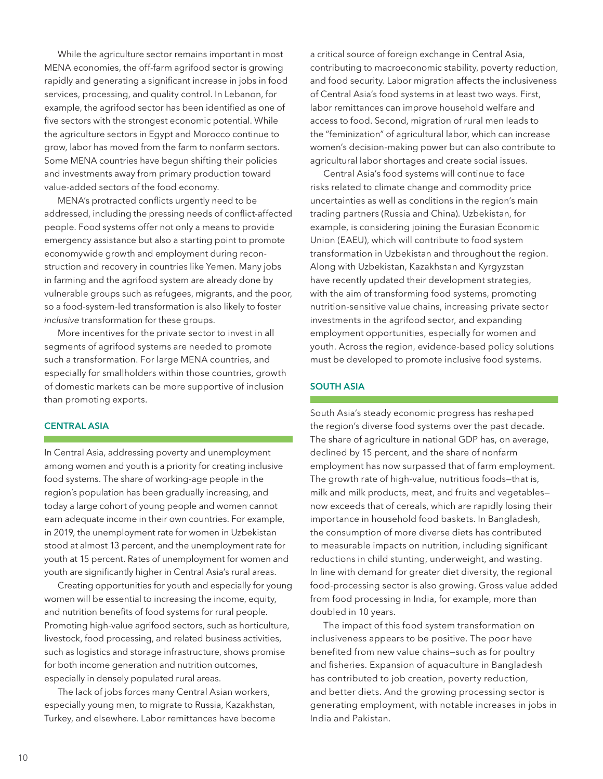While the agriculture sector remains important in most MENA economies, the off-farm agrifood sector is growing rapidly and generating a significant increase in jobs in food services, processing, and quality control. In Lebanon, for example, the agrifood sector has been identified as one of five sectors with the strongest economic potential. While the agriculture sectors in Egypt and Morocco continue to grow, labor has moved from the farm to nonfarm sectors. Some MENA countries have begun shifting their policies and investments away from primary production toward value-added sectors of the food economy.

MENA's protracted conflicts urgently need to be addressed, including the pressing needs of conflict-affected people. Food systems offer not only a means to provide emergency assistance but also a starting point to promote economywide growth and employment during reconstruction and recovery in countries like Yemen. Many jobs in farming and the agrifood system are already done by vulnerable groups such as refugees, migrants, and the poor, so a food-system-led transformation is also likely to foster *inclusive* transformation for these groups.

More incentives for the private sector to invest in all segments of agrifood systems are needed to promote such a transformation. For large MENA countries, and especially for smallholders within those countries, growth of domestic markets can be more supportive of inclusion than promoting exports.

## CENTRAL ASIA

In Central Asia, addressing poverty and unemployment among women and youth is a priority for creating inclusive food systems. The share of working-age people in the region's population has been gradually increasing, and today a large cohort of young people and women cannot earn adequate income in their own countries. For example, in 2019, the unemployment rate for women in Uzbekistan stood at almost 13 percent, and the unemployment rate for youth at 15 percent. Rates of unemployment for women and youth are significantly higher in Central Asia's rural areas.

Creating opportunities for youth and especially for young women will be essential to increasing the income, equity, and nutrition benefits of food systems for rural people. Promoting high-value agrifood sectors, such as horticulture, livestock, food processing, and related business activities, such as logistics and storage infrastructure, shows promise for both income generation and nutrition outcomes, especially in densely populated rural areas.

The lack of jobs forces many Central Asian workers, especially young men, to migrate to Russia, Kazakhstan, Turkey, and elsewhere. Labor remittances have become

a critical source of foreign exchange in Central Asia, contributing to macroeconomic stability, poverty reduction, and food security. Labor migration affects the inclusiveness of Central Asia's food systems in at least two ways. First, labor remittances can improve household welfare and access to food. Second, migration of rural men leads to the "feminization" of agricultural labor, which can increase women's decision-making power but can also contribute to agricultural labor shortages and create social issues.

Central Asia's food systems will continue to face risks related to climate change and commodity price uncertainties as well as conditions in the region's main trading partners (Russia and China). Uzbekistan, for example, is considering joining the Eurasian Economic Union (EAEU), which will contribute to food system transformation in Uzbekistan and throughout the region. Along with Uzbekistan, Kazakhstan and Kyrgyzstan have recently updated their development strategies, with the aim of transforming food systems, promoting nutrition-sensitive value chains, increasing private sector investments in the agrifood sector, and expanding employment opportunities, especially for women and youth. Across the region, evidence-based policy solutions must be developed to promote inclusive food systems.

## SOUTH ASIA

South Asia's steady economic progress has reshaped the region's diverse food systems over the past decade. The share of agriculture in national GDP has, on average, declined by 15 percent, and the share of nonfarm employment has now surpassed that of farm employment. The growth rate of high-value, nutritious foods—that is, milk and milk products, meat, and fruits and vegetables now exceeds that of cereals, which are rapidly losing their importance in household food baskets. In Bangladesh, the consumption of more diverse diets has contributed to measurable impacts on nutrition, including significant reductions in child stunting, underweight, and wasting. In line with demand for greater diet diversity, the regional food-processing sector is also growing. Gross value added from food processing in India, for example, more than doubled in 10 years.

The impact of this food system transformation on inclusiveness appears to be positive. The poor have benefited from new value chains—such as for poultry and fisheries. Expansion of aquaculture in Bangladesh has contributed to job creation, poverty reduction, and better diets. And the growing processing sector is generating employment, with notable increases in jobs in India and Pakistan.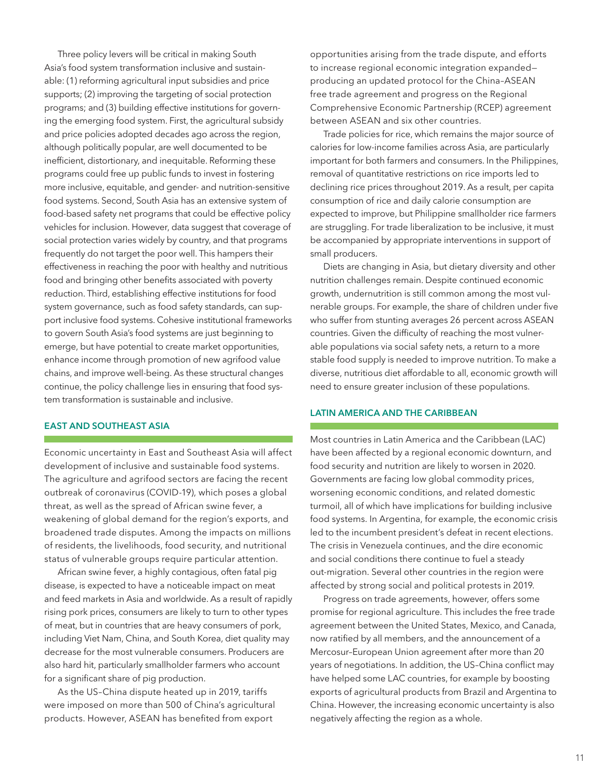Three policy levers will be critical in making South Asia's food system transformation inclusive and sustainable: (1) reforming agricultural input subsidies and price supports; (2) improving the targeting of social protection programs; and (3) building effective institutions for governing the emerging food system. First, the agricultural subsidy and price policies adopted decades ago across the region, although politically popular, are well documented to be inefficient, distortionary, and inequitable. Reforming these programs could free up public funds to invest in fostering more inclusive, equitable, and gender- and nutrition-sensitive food systems. Second, South Asia has an extensive system of food-based safety net programs that could be effective policy vehicles for inclusion. However, data suggest that coverage of social protection varies widely by country, and that programs frequently do not target the poor well. This hampers their effectiveness in reaching the poor with healthy and nutritious food and bringing other benefits associated with poverty reduction. Third, establishing effective institutions for food system governance, such as food safety standards, can support inclusive food systems. Cohesive institutional frameworks to govern South Asia's food systems are just beginning to emerge, but have potential to create market opportunities, enhance income through promotion of new agrifood value chains, and improve well-being. As these structural changes continue, the policy challenge lies in ensuring that food system transformation is sustainable and inclusive.

## EAST AND SOUTHEAST ASIA

Economic uncertainty in East and Southeast Asia will affect development of inclusive and sustainable food systems. The agriculture and agrifood sectors are facing the recent outbreak of coronavirus (COVID-19), which poses a global threat, as well as the spread of African swine fever, a weakening of global demand for the region's exports, and broadened trade disputes. Among the impacts on millions of residents, the livelihoods, food security, and nutritional status of vulnerable groups require particular attention.

African swine fever, a highly contagious, often fatal pig disease, is expected to have a noticeable impact on meat and feed markets in Asia and worldwide. As a result of rapidly rising pork prices, consumers are likely to turn to other types of meat, but in countries that are heavy consumers of pork, including Viet Nam, China, and South Korea, diet quality may decrease for the most vulnerable consumers. Producers are also hard hit, particularly smallholder farmers who account for a significant share of pig production.

As the US–China dispute heated up in 2019, tariffs were imposed on more than 500 of China's agricultural products. However, ASEAN has benefited from export

opportunities arising from the trade dispute, and efforts to increase regional economic integration expanded producing an updated protocol for the China–ASEAN free trade agreement and progress on the Regional Comprehensive Economic Partnership (RCEP) agreement between ASEAN and six other countries.

Trade policies for rice, which remains the major source of calories for low-income families across Asia, are particularly important for both farmers and consumers. In the Philippines, removal of quantitative restrictions on rice imports led to declining rice prices throughout 2019. As a result, per capita consumption of rice and daily calorie consumption are expected to improve, but Philippine smallholder rice farmers are struggling. For trade liberalization to be inclusive, it must be accompanied by appropriate interventions in support of small producers.

Diets are changing in Asia, but dietary diversity and other nutrition challenges remain. Despite continued economic growth, undernutrition is still common among the most vulnerable groups. For example, the share of children under five who suffer from stunting averages 26 percent across ASEAN countries. Given the difficulty of reaching the most vulnerable populations via social safety nets, a return to a more stable food supply is needed to improve nutrition. To make a diverse, nutritious diet affordable to all, economic growth will need to ensure greater inclusion of these populations.

## LATIN AMERICA AND THE CARIBBEAN

Most countries in Latin America and the Caribbean (LAC) have been affected by a regional economic downturn, and food security and nutrition are likely to worsen in 2020. Governments are facing low global commodity prices, worsening economic conditions, and related domestic turmoil, all of which have implications for building inclusive food systems. In Argentina, for example, the economic crisis led to the incumbent president's defeat in recent elections. The crisis in Venezuela continues, and the dire economic and social conditions there continue to fuel a steady out-migration. Several other countries in the region were affected by strong social and political protests in 2019.

Progress on trade agreements, however, offers some promise for regional agriculture. This includes the free trade agreement between the United States, Mexico, and Canada, now ratified by all members, and the announcement of a Mercosur–European Union agreement after more than 20 years of negotiations. In addition, the US–China conflict may have helped some LAC countries, for example by boosting exports of agricultural products from Brazil and Argentina to China. However, the increasing economic uncertainty is also negatively affecting the region as a whole.